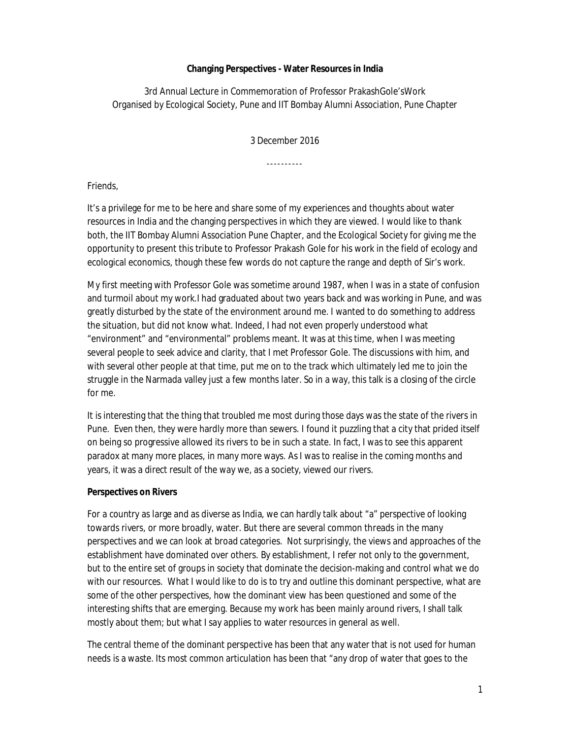## **Changing Perspectives - Water Resources in India**

3rd Annual Lecture in Commemoration of Professor PrakashGole'sWork Organised by Ecological Society, Pune and IIT Bombay Alumni Association, Pune Chapter

3 December 2016

----------

Friends,

It's a privilege for me to be here and share some of my experiences and thoughts about water resources in India and the changing perspectives in which they are viewed. I would like to thank both, the IIT Bombay Alumni Association Pune Chapter, and the Ecological Society for giving me the opportunity to present this tribute to Professor Prakash Gole for his work in the field of ecology and ecological economics, though these few words do not capture the range and depth of Sir's work.

My first meeting with Professor Gole was sometime around 1987, when I was in a state of confusion and turmoil about my work.I had graduated about two years back and was working in Pune, and was greatly disturbed by the state of the environment around me. I wanted to do something to address the situation, but did not know what. Indeed, I had not even properly understood what "environment" and "environmental" problems meant. It was at this time, when I was meeting several people to seek advice and clarity, that I met Professor Gole. The discussions with him, and with several other people at that time, put me on to the track which ultimately led me to join the struggle in the Narmada valley just a few months later. So in a way, this talk is a closing of the circle for me.

It is interesting that the thing that troubled me most during those days was the state of the rivers in Pune. Even then, they were hardly more than sewers. I found it puzzling that a city that prided itself on being so progressive allowed its rivers to be in such a state. In fact, I was to see this apparent paradox at many more places, in many more ways. As I was to realise in the coming months and years, it was a direct result of the way we, as a society, viewed our rivers.

## **Perspectives on Rivers**

For a country as large and as diverse as India, we can hardly talk about "a" perspective of looking towards rivers, or more broadly, water. But there are several common threads in the many perspectives and we can look at broad categories. Not surprisingly, the views and approaches of the establishment have dominated over others. By establishment, I refer not only to the government, but to the entire set of groups in society that dominate the decision-making and control what we do with our resources. What I would like to do is to try and outline this dominant perspective, what are some of the other perspectives, how the dominant view has been questioned and some of the interesting shifts that are emerging. Because my work has been mainly around rivers, I shall talk mostly about them; but what I say applies to water resources in general as well.

The central theme of the dominant perspective has been that any water that is not used for human needs is a waste. Its most common articulation has been that "any drop of water that goes to the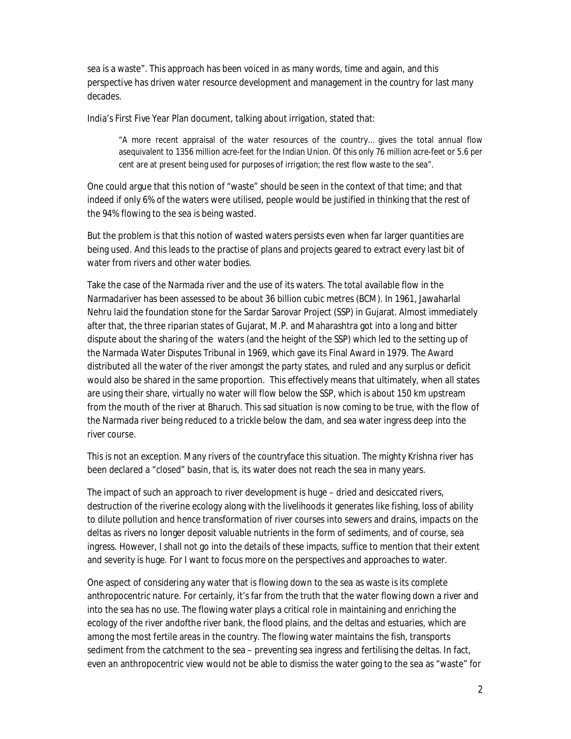sea is a waste". This approach has been voiced in as many words, time and again, and this perspective has driven water resource development and management in the country for last many decades.

India's First Five Year Plan document, talking about irrigation, stated that:

"A more recent appraisal of the water resources of the country… gives the total annual flow asequivalent to 1356 million acre-feet for the Indian Union. Of this only 76 million acre-feet or 5.6 per cent are at present being used for purposes of irrigation; the rest flow waste to the sea".

One could argue that this notion of "waste" should be seen in the context of that time; and that indeed if only 6% of the waters were utilised, people would be justified in thinking that the rest of the 94% flowing to the sea is being wasted.

But the problem is that this notion of wasted waters persists even when far larger quantities are being used. And this leads to the practise of plans and projects geared to extract every last bit of water from rivers and other water bodies.

Take the case of the Narmada river and the use of its waters. The total available flow in the Narmadariver has been assessed to be about 36 billion cubic metres (BCM). In 1961, Jawaharlal Nehru laid the foundation stone for the Sardar Sarovar Project (SSP) in Gujarat. Almost immediately after that, the three riparian states of Gujarat, M.P. and Maharashtra got into a long and bitter dispute about the sharing of the waters (and the height of the SSP) which led to the setting up of the Narmada Water Disputes Tribunal in 1969, which gave its Final Award in 1979. The Award distributed *all* the water of the river amongst the party states, and ruled and any surplus or deficit would also be shared in the same proportion. This effectively means that ultimately, when all states are using their share, virtually no water will flow below the SSP, which is about 150 km upstream from the mouth of the river at Bharuch. This sad situation is now coming to be true, with the flow of the Narmada river being reduced to a trickle below the dam, and sea water ingress deep into the river course.

This is not an exception. Many rivers of the countryface this situation. The mighty Krishna river has been declared a "closed" basin, that is, its water does not reach the sea in many years.

The impact of such an approach to river development is huge – dried and desiccated rivers, destruction of the riverine ecology along with the livelihoods it generates like fishing, loss of ability to dilute pollution and hence transformation of river courses into sewers and drains, impacts on the deltas as rivers no longer deposit valuable nutrients in the form of sediments, and of course, sea ingress. However, I shall not go into the details of these impacts, suffice to mention that their extent and severity is huge. For I want to focus more on the perspectives and approaches to water.

One aspect of considering any water that is flowing down to the sea as waste is its complete anthropocentric nature. For certainly, it's far from the truth that the water flowing down a river and into the sea has no use. The flowing water plays a critical role in maintaining and enriching the ecology of the river andofthe river bank, the flood plains, and the deltas and estuaries, which are among the most fertile areas in the country. The flowing water maintains the fish, transports sediment from the catchment to the sea – preventing sea ingress and fertilising the deltas. In fact, even an anthropocentric view would not be able to dismiss the water going to the sea as "waste" for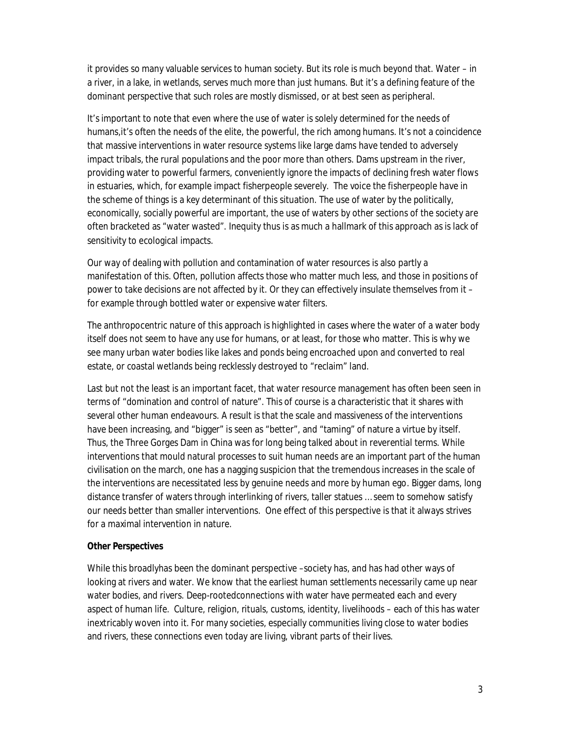it provides so many valuable services to human society. But its role is much beyond that. Water – in a river, in a lake, in wetlands, serves much more than just humans. But it's a defining feature of the dominant perspective that such roles are mostly dismissed, or at best seen as peripheral.

It's important to note that even where the use of water is solely determined for the needs of humans,it's often the needs of the elite, the powerful, the rich among humans. It's not a coincidence that massive interventions in water resource systems like large dams have tended to adversely impact tribals, the rural populations and the poor more than others. Dams upstream in the river, providing water to powerful farmers, conveniently ignore the impacts of declining fresh water flows in estuaries, which, for example impact fisherpeople severely. The voice the fisherpeople have in the scheme of things is a key determinant of this situation. The use of water by the politically, economically, socially powerful are important, the use of waters by other sections of the society are often bracketed as "water wasted". Inequity thus is as much a hallmark of this approach as is lack of sensitivity to ecological impacts.

Our way of dealing with pollution and contamination of water resources is also partly a manifestation of this. Often, pollution affects those who matter much less, and those in positions of power to take decisions are not affected by it. Or they can effectively insulate themselves from it – for example through bottled water or expensive water filters.

The anthropocentric nature of this approach is highlighted in cases where the water of a water body itself does not seem to have any use for humans, or at least, for those who matter. This is why we see many urban water bodies like lakes and ponds being encroached upon and converted to real estate, or coastal wetlands being recklessly destroyed to "reclaim" land.

Last but not the least is an important facet, that water resource management has often been seen in terms of "domination and control of nature". This of course is a characteristic that it shares with several other human endeavours. A result is that the scale and massiveness of the interventions have been increasing, and "bigger" is seen as "better", and "taming" of nature a virtue by itself. Thus, the Three Gorges Dam in China was for long being talked about in reverential terms. While interventions that mould natural processes to suit human needs are an important part of the human civilisation on the march, one has a nagging suspicion that the tremendous increases in the scale of the interventions are necessitated less by genuine needs and more by human ego. Bigger dams, long distance transfer of waters through interlinking of rivers, taller statues … seem to somehow satisfy our needs better than smaller interventions. One effect of this perspective is that it always strives for a maximal intervention in nature.

## **Other Perspectives**

While this broadlyhas been the dominant perspective –society has, and has had other ways of looking at rivers and water. We know that the earliest human settlements necessarily came up near water bodies, and rivers. Deep-rootedconnections with water have permeated each and every aspect of human life. Culture, religion, rituals, customs, identity, livelihoods – each of this has water inextricably woven into it. For many societies, especially communities living close to water bodies and rivers, these connections even today are living, vibrant parts of their lives.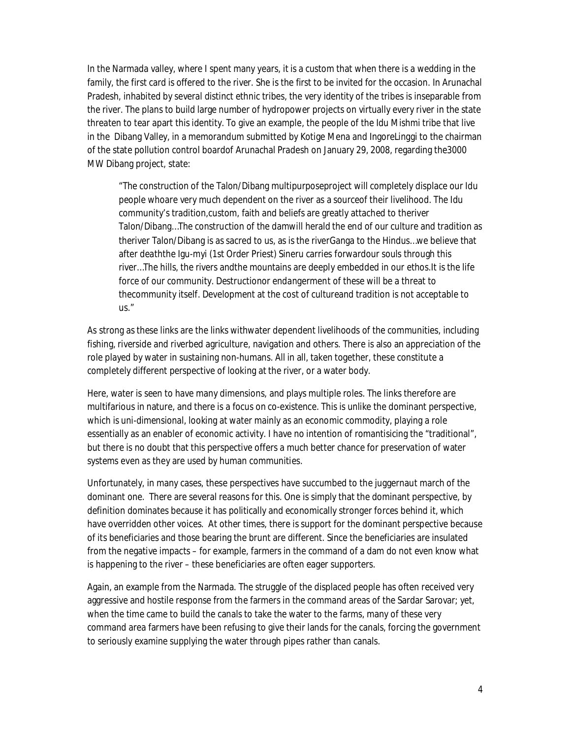In the Narmada valley, where I spent many years, it is a custom that when there is a wedding in the family, the first card is offered to the river. She is the first to be invited for the occasion. In Arunachal Pradesh, inhabited by several distinct ethnic tribes, the very identity of the tribes is inseparable from the river. The plans to build large number of hydropower projects on virtually every river in the state threaten to tear apart this identity. To give an example, the people of the Idu Mishmi tribe that live in the Dibang Valley, in a memorandum submitted by Kotige Mena and IngoreLinggi to the chairman of the state pollution control boardof Arunachal Pradesh on January 29, 2008, regarding the3000 MW Dibang project, state:

"The construction of the Talon/Dibang multipurposeproject will completely displace our Idu people whoare very much dependent on the river as a sourceof their livelihood. The Idu community's tradition,custom, faith and beliefs are greatly attached to theriver Talon/Dibang…The construction of the damwill herald the end of our culture and tradition as theriver Talon/Dibang is as sacred to us, as is the riverGanga to the Hindus…we believe that after deaththe Igu-myi (1st Order Priest) Sineru carries forwardour souls through this river…The hills, the rivers andthe mountains are deeply embedded in our ethos.It is the life force of our community. Destructionor endangerment of these will be a threat to thecommunity itself. Development at the cost of cultureand tradition is not acceptable to us."

As strong as these links are the links withwater dependent livelihoods of the communities, including fishing, riverside and riverbed agriculture, navigation and others. There is also an appreciation of the role played by water in sustaining non-humans. All in all, taken together, these constitute a completely different perspective of looking at the river, or a water body.

Here, water is seen to have many dimensions, and plays multiple roles. The links therefore are multifarious in nature, and there is a focus on co-existence. This is unlike the dominant perspective, which is uni-dimensional, looking at water mainly as an economic commodity, playing a role essentially as an enabler of economic activity. I have no intention of romantisicing the "traditional", but there is no doubt that this perspective offers a much better chance for preservation of water systems even as they are used by human communities.

Unfortunately, in many cases, these perspectives have succumbed to the juggernaut march of the dominant one. There are several reasons for this. One is simply that the dominant perspective, by definition dominates because it has politically and economically stronger forces behind it, which have overridden other voices. At other times, there is support for the dominant perspective because of its beneficiaries and those bearing the brunt are different. Since the beneficiaries are insulated from the negative impacts – for example, farmers in the command of a dam do not even know what is happening to the river – these beneficiaries are often eager supporters.

Again, an example from the Narmada. The struggle of the displaced people has often received very aggressive and hostile response from the farmers in the command areas of the Sardar Sarovar; yet, when the time came to build the canals to take the water to the farms, many of these very command area farmers have been refusing to give their lands for the canals, forcing the government to seriously examine supplying the water through pipes rather than canals.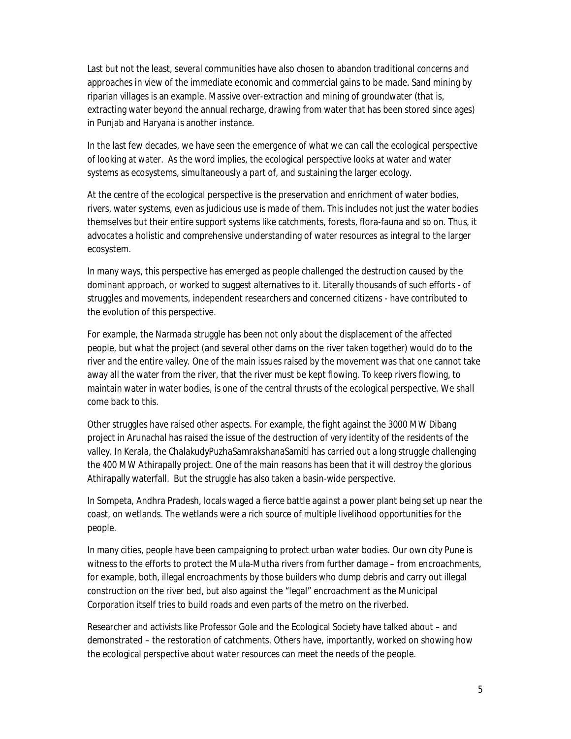Last but not the least, several communities have also chosen to abandon traditional concerns and approaches in view of the immediate economic and commercial gains to be made. Sand mining by riparian villages is an example. Massive over-extraction and mining of groundwater (that is, extracting water beyond the annual recharge, drawing from water that has been stored since ages) in Punjab and Haryana is another instance.

In the last few decades, we have seen the emergence of what we can call the ecological perspective of looking at water. As the word implies, the ecological perspective looks at water and water systems as ecosystems, simultaneously a part of, and sustaining the larger ecology.

At the centre of the ecological perspective is the preservation and enrichment of water bodies, rivers, water systems, even as judicious use is made of them. This includes not just the water bodies themselves but their entire support systems like catchments, forests, flora-fauna and so on. Thus, it advocates a holistic and comprehensive understanding of water resources as integral to the larger ecosystem.

In many ways, this perspective has emerged as people challenged the destruction caused by the dominant approach, or worked to suggest alternatives to it. Literally thousands of such efforts - of struggles and movements, independent researchers and concerned citizens - have contributed to the evolution of this perspective.

For example, the Narmada struggle has been not only about the displacement of the affected people, but what the project (and several other dams on the river taken together) would do to the river and the entire valley. One of the main issues raised by the movement was that one cannot take away all the water from the river, that the river must be kept flowing. To keep rivers flowing, to maintain water in water bodies, is one of the central thrusts of the ecological perspective. We shall come back to this.

Other struggles have raised other aspects. For example, the fight against the 3000 MW Dibang project in Arunachal has raised the issue of the destruction of very identity of the residents of the valley. In Kerala, the ChalakudyPuzhaSamrakshanaSamiti has carried out a long struggle challenging the 400 MW Athirapally project. One of the main reasons has been that it will destroy the glorious Athirapally waterfall. But the struggle has also taken a basin-wide perspective.

In Sompeta, Andhra Pradesh, locals waged a fierce battle against a power plant being set up near the coast, on wetlands. The wetlands were a rich source of multiple livelihood opportunities for the people.

In many cities, people have been campaigning to protect urban water bodies. Our own city Pune is witness to the efforts to protect the Mula-Mutha rivers from further damage – from encroachments, for example, both, illegal encroachments by those builders who dump debris and carry out illegal construction on the river bed, but also against the "legal" encroachment as the Municipal Corporation itself tries to build roads and even parts of the metro on the riverbed.

Researcher and activists like Professor Gole and the Ecological Society have talked about – and demonstrated – the restoration of catchments. Others have, importantly, worked on showing how the ecological perspective about water resources can meet the needs of the people.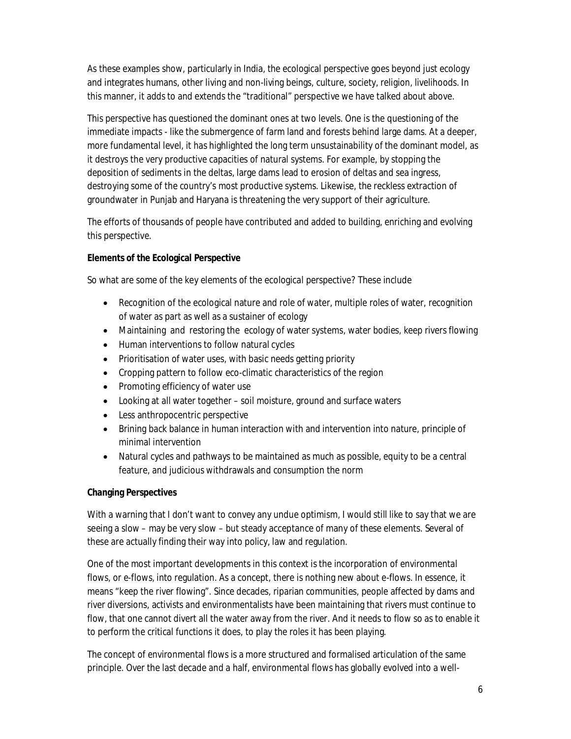As these examples show, particularly in India, the ecological perspective goes beyond just ecology and integrates humans, other living and non-living beings, culture, society, religion, livelihoods. In this manner, it adds to and extends the "traditional" perspective we have talked about above.

This perspective has questioned the dominant ones at two levels. One is the questioning of the immediate impacts - like the submergence of farm land and forests behind large dams. At a deeper, more fundamental level, it has highlighted the long term unsustainability of the dominant model, as it destroys the very productive capacities of natural systems. For example, by stopping the deposition of sediments in the deltas, large dams lead to erosion of deltas and sea ingress, destroying some of the country's most productive systems. Likewise, the reckless extraction of groundwater in Punjab and Haryana is threatening the very support of their agriculture.

The efforts of thousands of people have contributed and added to building, enriching and evolving this perspective.

# **Elements of the Ecological Perspective**

So what are some of the key elements of the ecological perspective? These include

- Recognition of the ecological nature and role of water, multiple roles of water, recognition of water as part as well as a sustainer of ecology
- Maintaining and restoring the ecology of water systems, water bodies, keep rivers flowing
- Human interventions to follow natural cycles
- Prioritisation of water uses, with basic needs getting priority
- Cropping pattern to follow eco-climatic characteristics of the region
- Promoting efficiency of water use
- Looking at all water together soil moisture, ground and surface waters
- Less anthropocentric perspective
- Brining back balance in human interaction with and intervention into nature, principle of minimal intervention
- Natural cycles and pathways to be maintained as much as possible, equity to be a central feature, and judicious withdrawals and consumption the norm

# **Changing Perspectives**

With a warning that I don't want to convey any undue optimism, I would still like to say that we are seeing a slow – may be very slow – but steady acceptance of many of these elements. Several of these are actually finding their way into policy, law and regulation.

One of the most important developments in this context is the incorporation of environmental flows, or e-flows, into regulation. As a concept, there is nothing new about e-flows. In essence, it means "keep the river flowing". Since decades, riparian communities, people affected by dams and river diversions, activists and environmentalists have been maintaining that rivers must continue to flow, that one cannot divert all the water away from the river. And it needs to flow so as to enable it to perform the critical functions it does, to play the roles it has been playing.

The concept of environmental flows is a more structured and formalised articulation of the same principle. Over the last decade and a half, environmental flows has globally evolved into a well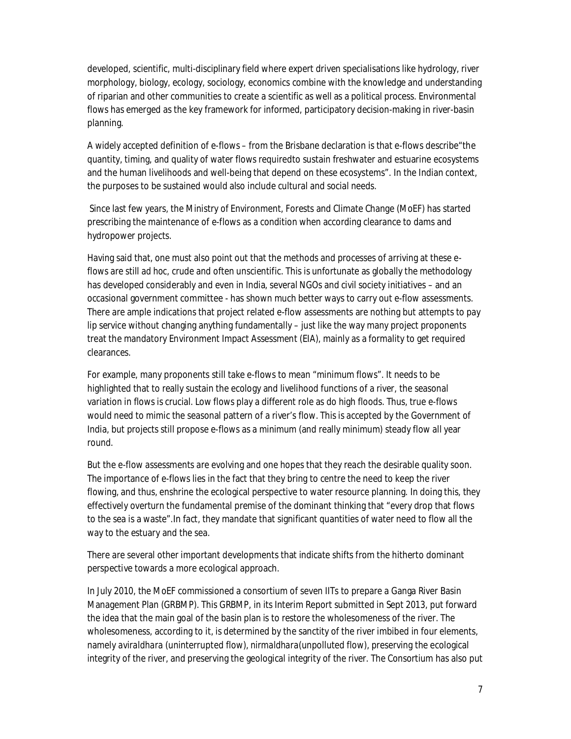developed, scientific, multi-disciplinary field where expert driven specialisations like hydrology, river morphology, biology, ecology, sociology, economics combine with the knowledge and understanding of riparian and other communities to create a scientific as well as a political process. Environmental flows has emerged as the key framework for informed, participatory decision-making in river-basin planning.

A widely accepted definition of e-flows – from the Brisbane declaration is that e-flows describe"the quantity, timing, and quality of water flows requiredto sustain freshwater and estuarine ecosystems and the human livelihoods and well-being that depend on these ecosystems". In the Indian context, the purposes to be sustained would also include cultural and social needs.

Since last few years, the Ministry of Environment, Forests and Climate Change (MoEF) has started prescribing the maintenance of e-flows as a condition when according clearance to dams and hydropower projects.

Having said that, one must also point out that the methods and processes of arriving at these eflows are still *ad hoc*, crude and often unscientific. This is unfortunate as globally the methodology has developed considerably and even in India, several NGOs and civil society initiatives – and an occasional government committee - has shown much better ways to carry out e-flow assessments. There are ample indications that project related e-flow assessments are nothing but attempts to pay lip service without changing anything fundamentally – just like the way many project proponents treat the mandatory Environment Impact Assessment (EIA), mainly as a formality to get required clearances.

For example, many proponents still take e-flows to mean "minimum flows". It needs to be highlighted that to really sustain the ecology and livelihood functions of a river, the seasonal variation in flows is crucial. Low flows play a different role as do high floods. Thus, true e-flows would need to mimic the seasonal pattern of a river's flow. This is accepted by the Government of India, but projects still propose e-flows as a minimum (and really minimum) steady flow all year round.

But the e-flow assessments are evolving and one hopes that they reach the desirable quality soon. The importance of e-flows lies in the fact that they bring to centre the need to keep the river flowing, and thus, enshrine the ecological perspective to water resource planning. In doing this, they effectively overturn the fundamental premise of the dominant thinking that "every drop that flows to the sea is a waste".In fact, they mandate that significant quantities of water need to flow all the way to the estuary and the sea.

There are several other important developments that indicate shifts from the hitherto dominant perspective towards a more ecological approach.

In July 2010, the MoEF commissioned a consortium of seven IITs to prepare a Ganga River Basin Management Plan (GRBMP). This GRBMP, in its Interim Report submitted in Sept 2013, put forward the idea that the main goal of the basin plan is to restore the wholesomeness of the river. The wholesomeness, according to it, is determined by the sanctity of the river imbibed in four elements, namely *aviraldhara* (uninterrupted flow), *nirmaldhara*(unpolluted flow), preserving the ecological integrity of the river, and preserving the geological integrity of the river. The Consortium has also put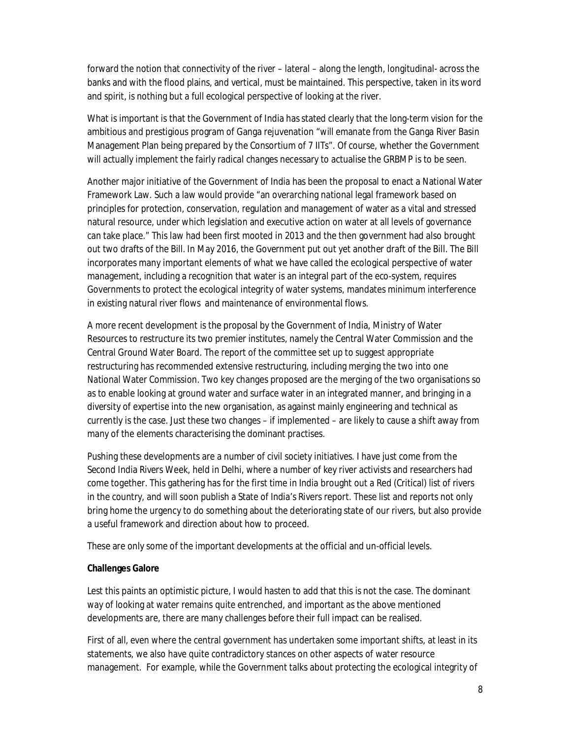forward the notion that connectivity of the river – lateral – along the length, longitudinal- across the banks and with the flood plains, and vertical, must be maintained. This perspective, taken in its word and spirit, is nothing but a full ecological perspective of looking at the river.

What is important is that the Government of India has stated clearly that the long-term vision for the ambitious and prestigious program of Ganga rejuvenation "will emanate from the Ganga River Basin Management Plan being prepared by the Consortium of 7 IITs". Of course, whether the Government will actually implement the fairly radical changes necessary to actualise the GRBMP is to be seen.

Another major initiative of the Government of India has been the proposal to enact a National Water Framework Law. Such a law would provide "an overarching national legal framework based on principles for protection, conservation, regulation and management of water as a vital and stressed natural resource, under which legislation and executive action on water at all levels of governance can take place." This law had been first mooted in 2013 and the then government had also brought out two drafts of the Bill. In May 2016, the Government put out yet another draft of the Bill. The Bill incorporates many important elements of what we have called the ecological perspective of water management, including a recognition that water is an integral part of the eco-system, requires Governments to protect the ecological integrity of water systems, mandates minimum interference in existing natural river flows and maintenance of environmental flows.

A more recent development is the proposal by the Government of India, Ministry of Water Resources to restructure its two premier institutes, namely the Central Water Commission and the Central Ground Water Board. The report of the committee set up to suggest appropriate restructuring has recommended extensive restructuring, including merging the two into one National Water Commission. Two key changes proposed are the merging of the two organisations so as to enable looking at ground water and surface water in an integrated manner, and bringing in a diversity of expertise into the new organisation, as against mainly engineering and technical as currently is the case. Just these two changes – if implemented – are likely to cause a shift away from many of the elements characterising the dominant practises.

Pushing these developments are a number of civil society initiatives. I have just come from the Second India Rivers Week, held in Delhi, where a number of key river activists and researchers had come together. This gathering has for the first time in India brought out a Red (Critical) list of rivers in the country, and will soon publish a State of India's Rivers report. These list and reports not only bring home the urgency to do something about the deteriorating state of our rivers, but also provide a useful framework and direction about how to proceed.

These are only some of the important developments at the official and un-official levels.

## **Challenges Galore**

Lest this paints an optimistic picture, I would hasten to add that this is not the case. The dominant way of looking at water remains quite entrenched, and important as the above mentioned developments are, there are many challenges before their full impact can be realised.

First of all, even where the central government has undertaken some important shifts, at least in its statements, we also have quite contradictory stances on other aspects of water resource management. For example, while the Government talks about protecting the ecological integrity of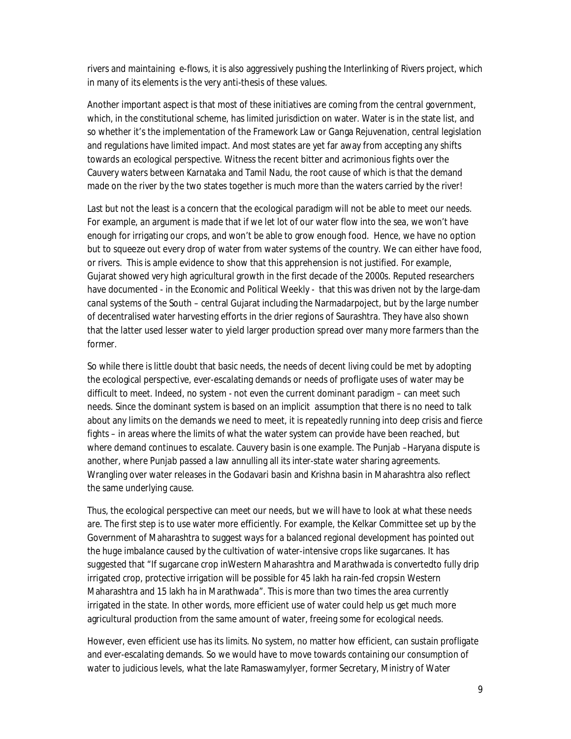rivers and maintaining e-flows, it is also aggressively pushing the Interlinking of Rivers project, which in many of its elements is the very anti-thesis of these values.

Another important aspect is that most of these initiatives are coming from the central government, which, in the constitutional scheme, has limited jurisdiction on water. Water is in the state list, and so whether it's the implementation of the Framework Law or Ganga Rejuvenation, central legislation and regulations have limited impact. And most states are yet far away from accepting any shifts towards an ecological perspective. Witness the recent bitter and acrimonious fights over the Cauvery waters between Karnataka and Tamil Nadu, the root cause of which is that the demand made on the river by the two states together is much more than the waters carried by the river!

Last but not the least is a concern that the ecological paradigm will not be able to meet our needs. For example, an argument is made that if we let lot of our water flow into the sea, we won't have enough for irrigating our crops, and won't be able to grow enough food. Hence, we have no option but to squeeze out every drop of water from water systems of the country. We can either have food, or rivers. This is ample evidence to show that this apprehension is not justified. For example, Gujarat showed very high agricultural growth in the first decade of the 2000s. Reputed researchers have documented - in the Economic and Political Weekly - that this was driven not by the large-dam canal systems of the South – central Gujarat including the Narmadarpoject, but by the large number of decentralised water harvesting efforts in the drier regions of Saurashtra. They have also shown that the latter used lesser water to yield larger production spread over many more farmers than the former.

So while there is little doubt that basic needs, the needs of decent living could be met by adopting the ecological perspective, ever-escalating demands or needs of profligate uses of water may be difficult to meet. Indeed, no system - not even the current dominant paradigm – can meet such needs. Since the dominant system is based on an implicit assumption that there is no need to talk about any limits on the demands we need to meet, it is repeatedly running into deep crisis and fierce fights – in areas where the limits of what the water system can provide have been reached, but where demand continues to escalate. Cauvery basin is one example. The Punjab –Haryana dispute is another, where Punjab passed a law annulling all its inter-state water sharing agreements. Wrangling over water releases in the Godavari basin and Krishna basin in Maharashtra also reflect the same underlying cause.

Thus, the ecological perspective can meet our needs, but we will have to look at what these needs are. The first step is to use water more efficiently. For example, the Kelkar Committee set up by the Government of Maharashtra to suggest ways for a balanced regional development has pointed out the huge imbalance caused by the cultivation of water-intensive crops like sugarcanes. It has suggested that "If sugarcane crop inWestern Maharashtra and Marathwada is convertedto fully drip irrigated crop, protective irrigation will be possible for 45 lakh ha rain-fed cropsin Western Maharashtra and 15 lakh ha in Marathwada". This is more than two times the area currently irrigated in the state. In other words, more efficient use of water could help us get much more agricultural production from the same amount of water, freeing some for ecological needs.

However, even efficient use has its limits. No system, no matter how efficient, can sustain profligate and ever-escalating demands. So we would have to move towards containing our consumption of water to judicious levels, what the late RamaswamyIyer, former Secretary, Ministry of Water